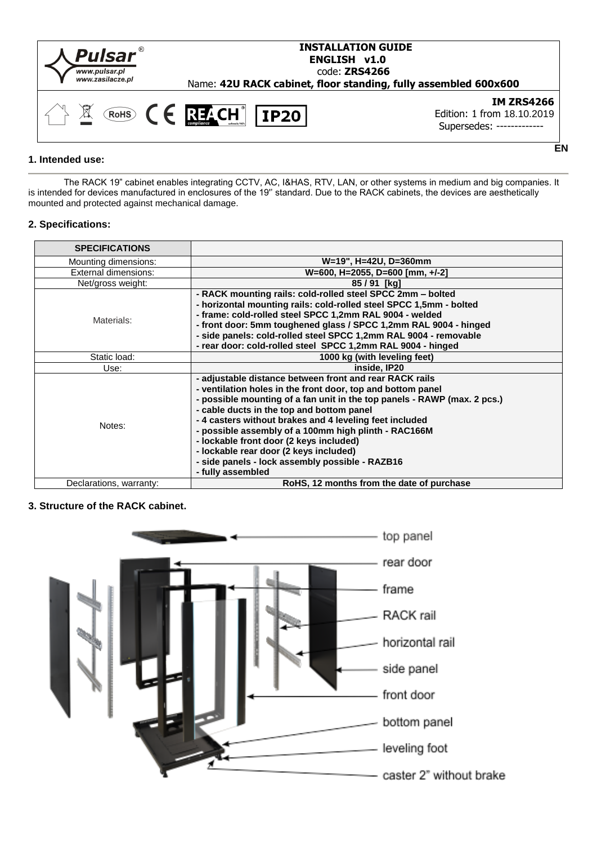

## **1. Intended use:**

The RACK 19" cabinet enables integrating CCTV, AC, I&HAS, RTV, LAN, or other systems in medium and big companies. It is intended for devices manufactured in enclosures of the 19'' standard. Due to the RACK cabinets, the devices are aesthetically mounted and protected against mechanical damage.

**EN**

## **2. Specifications:**

| <b>SPECIFICATIONS</b>   |                                                                                                                                                                                                                                                                                                                                                                                                                                                                                                                                 |
|-------------------------|---------------------------------------------------------------------------------------------------------------------------------------------------------------------------------------------------------------------------------------------------------------------------------------------------------------------------------------------------------------------------------------------------------------------------------------------------------------------------------------------------------------------------------|
| Mounting dimensions:    | W=19", H=42U, D=360mm                                                                                                                                                                                                                                                                                                                                                                                                                                                                                                           |
| External dimensions:    | W=600, H=2055, D=600 [mm, $+/-2$ ]                                                                                                                                                                                                                                                                                                                                                                                                                                                                                              |
| Net/gross weight:       | 85 / 91 [kg]                                                                                                                                                                                                                                                                                                                                                                                                                                                                                                                    |
| Materials:              | - RACK mounting rails: cold-rolled steel SPCC 2mm - bolted<br>- horizontal mounting rails: cold-rolled steel SPCC 1,5mm - bolted<br>- frame: cold-rolled steel SPCC 1,2mm RAL 9004 - welded<br>- front door: 5mm toughened glass / SPCC 1,2mm RAL 9004 - hinged<br>- side panels: cold-rolled steel SPCC 1,2mm RAL 9004 - removable<br>- rear door: cold-rolled steel SPCC 1,2mm RAL 9004 - hinged                                                                                                                              |
| Static load:            | 1000 kg (with leveling feet)                                                                                                                                                                                                                                                                                                                                                                                                                                                                                                    |
| Use:                    | inside, IP20                                                                                                                                                                                                                                                                                                                                                                                                                                                                                                                    |
| Notes:                  | - adjustable distance between front and rear RACK rails<br>- ventilation holes in the front door, top and bottom panel<br>- possible mounting of a fan unit in the top panels - RAWP (max. 2 pcs.)<br>- cable ducts in the top and bottom panel<br>- 4 casters without brakes and 4 leveling feet included<br>- possible assembly of a 100mm high plinth - RAC166M<br>- lockable front door (2 keys included)<br>- lockable rear door (2 keys included)<br>- side panels - lock assembly possible - RAZB16<br>- fully assembled |
| Declarations, warranty: | RoHS, 12 months from the date of purchase                                                                                                                                                                                                                                                                                                                                                                                                                                                                                       |

## **3. Structure of the RACK cabinet.**